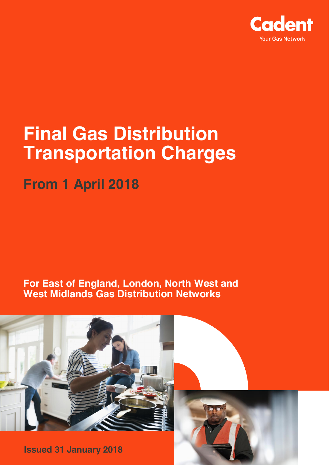

# **Final Gas Distribution Transportation Charges**

**From 1 April 2018**

**For East of England, London, North West and West Midlands Gas Distribution Networks**



**Issued 31 January 2018**

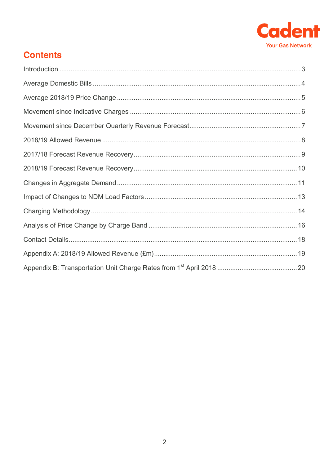

### **Contents**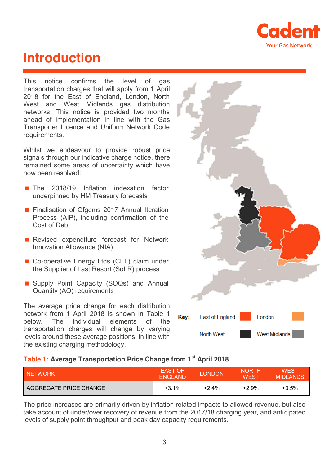

### <span id="page-2-0"></span>**Introduction**

This notice confirms the level of gas transportation charges that will apply from 1 April 2018 for the East of England, London, North West and West Midlands gas distribution networks. This notice is provided two months ahead of implementation in line with the Gas Transporter Licence and Uniform Network Code requirements.

Whilst we endeavour to provide robust price signals through our indicative charge notice, there remained some areas of uncertainty which have now been resolved:

- The 2018/19 Inflation indexation factor underpinned by HM Treasury forecasts
- **Finalisation of Ofgems 2017 Annual Iteration** Process (AIP), including confirmation of the Cost of Debt
- **Revised expenditure forecast for Network** Innovation Allowance (NIA)
- Co-operative Energy Ltds (CEL) claim under the Supplier of Last Resort (SoLR) process
- Supply Point Capacity (SOQs) and Annual Quantity (AQ) requirements

The average price change for each distribution network from 1 April 2018 is shown in Table 1 below. The individual elements of the transportation charges will change by varying levels around these average positions, in line with the existing charging methodology.



#### **Table 1: Average Transportation Price Change from 1st April 2018**

| <b>NETWORK</b>         | <b>EAST OF</b><br><b>ENGLAND</b> | LONDON | <b>NORTH</b><br><b>WEST</b> | <b>WEST</b><br><b>MIDLANDS</b> |
|------------------------|----------------------------------|--------|-----------------------------|--------------------------------|
| AGGREGATE PRICE CHANGE | $+3.1%$                          | +2.4%  | $+2.9%$                     | $+3.5%$                        |

The price increases are primarily driven by inflation related impacts to allowed revenue, but also take account of under/over recovery of revenue from the 2017/18 charging year, and anticipated levels of supply point throughput and peak day capacity requirements.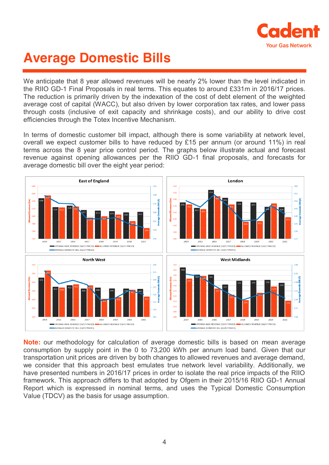

## <span id="page-3-0"></span>**Average Domestic Bills**

We anticipate that 8 year allowed revenues will be nearly 2% lower than the level indicated in the RIIO GD-1 Final Proposals in real terms. This equates to around £331m in 2016/17 prices. The reduction is primarily driven by the indexation of the cost of debt element of the weighted average cost of capital (WACC), but also driven by lower corporation tax rates, and lower pass through costs (inclusive of exit capacity and shrinkage costs), and our ability to drive cost efficiencies through the Totex Incentive Mechanism.

In terms of domestic customer bill impact, although there is some variability at network level, overall we expect customer bills to have reduced by £15 per annum (or around 11%) in real terms across the 8 year price control period. The graphs below illustrate actual and forecast revenue against opening allowances per the RIIO GD-1 final proposals, and forecasts for average domestic bill over the eight year period:



**Note:** our methodology for calculation of average domestic bills is based on mean average consumption by supply point in the 0 to 73,200 kWh per annum load band. Given that our transportation unit prices are driven by both changes to allowed revenues and average demand, we consider that this approach best emulates true network level variability. Additionally, we have presented numbers in 2016/17 prices in order to isolate the real price impacts of the RIIO framework. This approach differs to that adopted by Ofgem in their 2015/16 RIIO GD-1 Annual Report which is expressed in nominal terms, and uses the Typical Domestic Consumption Value (TDCV) as the basis for usage assumption.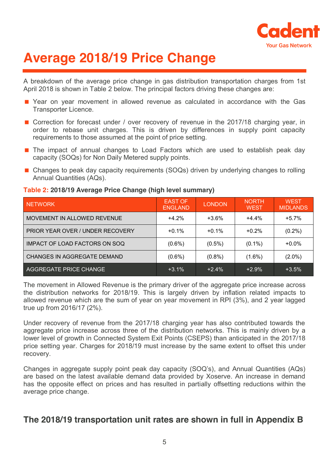

## <span id="page-4-0"></span>**Average 2018/19 Price Change**

A breakdown of the average price change in gas distribution transportation charges from 1st April 2018 is shown in Table 2 below. The principal factors driving these changes are:

- Year on year movement in allowed revenue as calculated in accordance with the Gas Transporter Licence.
- Correction for forecast under / over recovery of revenue in the 2017/18 charging year, in order to rebase unit charges. This is driven by differences in supply point capacity requirements to those assumed at the point of price setting.
- The impact of annual changes to Load Factors which are used to establish peak day capacity (SOQs) for Non Daily Metered supply points.
- Changes to peak day capacity requirements (SOQs) driven by underlying changes to rolling Annual Quantities (AQs).

#### NETWORK EAST OF THE STREET OF THE STREET OF THE STREET OF THE STREET OF THE STREET OF THE STREET OF THE STREET EAST OF LONDON NORTH<br>ENGLAND LONDON WEST **WEST WEST** MIDLANDS MOVEMENT IN ALLOWED REVENUE  $+4.2\%$   $+3.6\%$   $+4.4\%$   $+5.7\%$ PRIOR YEAR OVER / UNDER RECOVERY  $\vert$  +0.1%  $\vert$  +0.1%  $\vert$  +0.2%  $\vert$  (0.2%) IMPACT OF LOAD FACTORS ON SOQ  $(0.6\%)$   $(0.5\%)$   $(0.1\%)$   $+0.0\%$ CHANGES IN AGGREGATE DEMAND  $(0.6\%)$   $(0.8\%)$   $(1.6\%)$   $(1.6\%)$   $(2.0\%)$ AGGREGATE PRICE CHANGE  $+3.1\%$   $+2.4\%$   $+2.9\%$   $+3.5\%$

#### **Table 2: 2018/19 Average Price Change (high level summary)**

The movement in Allowed Revenue is the primary driver of the aggregate price increase across the distribution networks for 2018/19. This is largely driven by inflation related impacts to allowed revenue which are the sum of year on year movement in RPI (3%), and 2 year lagged true up from 2016/17 (2%).

Under recovery of revenue from the 2017/18 charging year has also contributed towards the aggregate price increase across three of the distribution networks. This is mainly driven by a lower level of growth in Connected System Exit Points (CSEPS) than anticipated in the 2017/18 price setting year. Charges for 2018/19 must increase by the same extent to offset this under recovery.

Changes in aggregate supply point peak day capacity (SOQ's), and Annual Quantities (AQs) are based on the latest available demand data provided by Xoserve. An increase in demand has the opposite effect on prices and has resulted in partially offsetting reductions within the average price change.

### **The 2018/19 transportation unit rates are shown in full in Appendix B**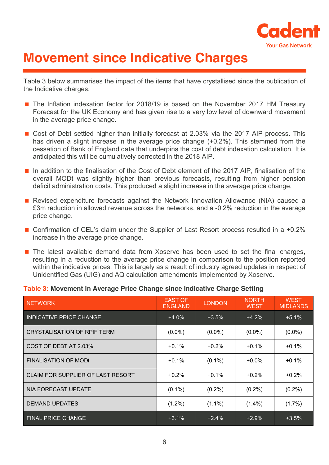

## <span id="page-5-0"></span>**Movement since Indicative Charges**

Table 3 below summarises the impact of the items that have crystallised since the publication of the Indicative charges:

- The Inflation indexation factor for 2018/19 is based on the November 2017 HM Treasury Forecast for the UK Economy and has given rise to a very low level of downward movement in the average price change.
- Cost of Debt settled higher than initially forecast at 2.03% via the 2017 AIP process. This has driven a slight increase in the average price change (+0.2%). This stemmed from the cessation of Bank of England data that underpins the cost of debt indexation calculation. It is anticipated this will be cumulatively corrected in the 2018 AIP.
- In addition to the finalisation of the Cost of Debt element of the 2017 AIP, finalisation of the overall MODt was slightly higher than previous forecasts, resulting from higher pension deficit administration costs. This produced a slight increase in the average price change.
- Revised expenditure forecasts against the Network Innovation Allowance (NIA) caused a £3m reduction in allowed revenue across the networks, and a -0.2% reduction in the average price change.
- Confirmation of CEL's claim under the Supplier of Last Resort process resulted in a +0.2% increase in the average price change.
- The latest available demand data from Xoserve has been used to set the final charges, resulting in a reduction to the average price change in comparison to the position reported within the indicative prices. This is largely as a result of industry agreed updates in respect of Unidentified Gas (UIG) and AQ calculation amendments implemented by Xoserve.

#### **Table 3: Movement in Average Price Change since Indicative Charge Setting**

| <b>NETWORK</b>                     | <b>EAST OF</b><br><b>ENGLAND</b> | <b>LONDON</b> | <b>NORTH</b><br><b>WEST</b> | <b>WEST</b><br><b>MIDLANDS</b> |
|------------------------------------|----------------------------------|---------------|-----------------------------|--------------------------------|
| <b>INDICATIVE PRICE CHANGE</b>     | $+4.0%$                          | $+3.5%$       | $+4.2%$                     | $+5.1%$                        |
| <b>CRYSTALISATION OF RPIF TERM</b> | $(0.0\%)$                        | $(0.0\%)$     | $(0.0\%)$                   | $(0.0\%)$                      |
| COST OF DEBT AT 2.03%              | $+0.1%$                          | $+0.2%$       | $+0.1%$                     | $+0.1%$                        |
| <b>FINALISATION OF MODE</b>        | $+0.1%$                          | $(0.1\%)$     | $+0.0\%$                    | $+0.1%$                        |
| CLAIM FOR SUPPLIER OF LAST RESORT  | $+0.2%$                          | $+0.1%$       | $+0.2%$                     | $+0.2%$                        |
| <b>NIA FORECAST UPDATE</b>         | $(0.1\%)$                        | $(0.2\%)$     | $(0.2\%)$                   | $(0.2\%)$                      |
| <b>DEMAND UPDATES</b>              | $(1.2\%)$                        | $(1.1\%)$     | $(1.4\%)$                   | $(1.7\%)$                      |
| <b>FINAL PRICE CHANGE</b>          | $+3.1%$                          | $+2.4%$       | $+2.9%$                     | $+3.5%$                        |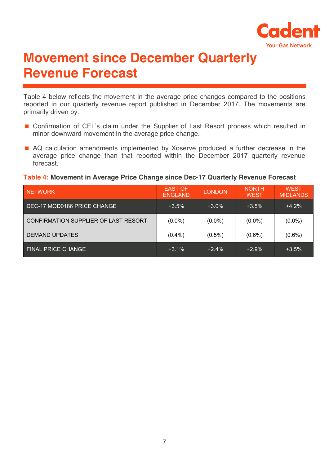

## <span id="page-6-0"></span>**Movement since December Quarterly Revenue Forecast**

Table 4 below reflects the movement in the average price changes compared to the positions reported in our quarterly revenue report published in December 2017. The movements are primarily driven by:

- Confirmation of CEL's claim under the Supplier of Last Resort process which resulted in minor downward movement in the average price change.
- AQ calculation amendments implemented by Xoserve produced a further decrease in the average price change than that reported within the December 2017 quarterly revenue forecast.

#### **Table 4: Movement in Average Price Change since Dec-17 Quarterly Revenue Forecast**

| <b>NETWORK</b>                       | <b>EAST OF</b><br><b>ENGLAND</b> | <b>LONDON</b> | <b>NORTH</b><br><b>WEST</b> | <b>WEST</b><br><b>MIDLANDS</b> |
|--------------------------------------|----------------------------------|---------------|-----------------------------|--------------------------------|
| DEC-17 MOD0186 PRICE CHANGE          | $+3.5\%$                         | $+3.0%$       | $+3.5%$                     | $+4.2%$                        |
| CONFIRMATION SUPPLIER OF LAST RESORT | $(0.0\%)$                        | $(0.0\%)$     | $(0.0\%)$                   | $(0.0\%)$                      |
| <b>DEMAND UPDATES</b>                | $(0.4\%)$                        | $(0.5\%)$     | $(0.6\%)$                   | $(0.6\%)$                      |
| <b>FINAL PRICE CHANGE</b>            | $+3.1%$                          | $+2.4%$       | $+2.9%$                     | $+3.5%$                        |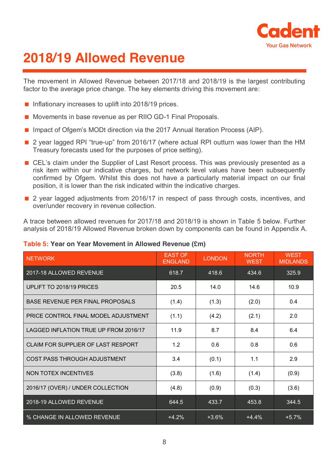

## <span id="page-7-0"></span>**2018/19 Allowed Revenue**

The movement in Allowed Revenue between 2017/18 and 2018/19 is the largest contributing factor to the average price change. The key elements driving this movement are:

- Inflationary increases to uplift into  $2018/19$  prices.
- Movements in base revenue as per RIIO GD-1 Final Proposals.
- Impact of Ofgem's MODt direction via the 2017 Annual Iteration Process (AIP).
- 2 year lagged RPI "true-up" from 2016/17 (where actual RPI outturn was lower than the HM Treasury forecasts used for the purposes of price setting).
- CEL's claim under the Supplier of Last Resort process. This was previously presented as a risk item within our indicative charges, but network level values have been subsequently confirmed by Ofgem. Whilst this does not have a particularly material impact on our final position, it is lower than the risk indicated within the indicative charges.
- 2 year lagged adjustments from 2016/17 in respect of pass through costs, incentives, and over/under recovery in revenue collection.

A trace between allowed revenues for 2017/18 and 2018/19 is shown in Table 5 below. Further analysis of 2018/19 Allowed Revenue broken down by components can be found in Appendix A.

#### **Table 5: Year on Year Movement in Allowed Revenue (£m)**

| <b>NETWORK</b>                        | <b>EAST OF</b><br><b>ENGLAND</b> | <b>LONDON</b> | <b>NORTH</b><br><b>WEST</b> | <b>WEST</b><br><b>MIDLANDS</b> |
|---------------------------------------|----------------------------------|---------------|-----------------------------|--------------------------------|
| 2017-18 ALLOWED REVENUE               | 618.7                            | 418.6         | 434.6                       | 325.9                          |
| UPLIFT TO 2018/19 PRICES              | 20.5                             | 14.0          | 14.6                        | 10.9                           |
| BASE REVENUE PER FINAL PROPOSALS      | (1.4)                            | (1.3)         | (2.0)                       | 0.4                            |
| PRICE CONTROL FINAL MODEL ADJUSTMENT  | (1.1)                            | (4.2)         | (2.1)                       | 2.0                            |
| LAGGED INFLATION TRUE UP FROM 2016/17 | 11.9                             | 8.7           | 8.4                         | 6.4                            |
| CLAIM FOR SUPPLIER OF LAST RESPORT    | 1.2                              | 0.6           | 0.8                         | 0.6                            |
| COST PASS THROUGH ADJUSTMENT          | 3.4                              | (0.1)         | 1.1                         | 2.9                            |
| NON TOTEX INCENTIVES                  | (3.8)                            | (1.6)         | (1.4)                       | (0.9)                          |
| 2016/17 (OVER) / UNDER COLLECTION     | (4.8)                            | (0.9)         | (0.3)                       | (3.6)                          |
| 2018-19 ALLOWED REVENUE               | 644.5                            | 433.7         | 453.8                       | 344.5                          |
| % CHANGE IN ALLOWED REVENUE           | $+4.2%$                          | $+3.6%$       | $+4.4%$                     | $+5.7%$                        |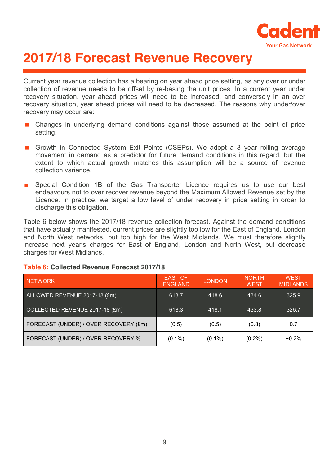

## <span id="page-8-0"></span>**2017/18 Forecast Revenue Recovery**

Current year revenue collection has a bearing on year ahead price setting, as any over or under collection of revenue needs to be offset by re-basing the unit prices. In a current year under recovery situation, year ahead prices will need to be increased, and conversely in an over recovery situation, year ahead prices will need to be decreased. The reasons why under/over recovery may occur are:

- Changes in underlying demand conditions against those assumed at the point of price setting.
- Growth in Connected System Exit Points (CSEPs). We adopt a 3 year rolling average movement in demand as a predictor for future demand conditions in this regard, but the extent to which actual growth matches this assumption will be a source of revenue collection variance.
- **EX Special Condition 1B of the Gas Transporter Licence requires us to use our best** endeavours not to over recover revenue beyond the Maximum Allowed Revenue set by the Licence. In practice, we target a low level of under recovery in price setting in order to discharge this obligation.

Table 6 below shows the 2017/18 revenue collection forecast. Against the demand conditions that have actually manifested, current prices are slightly too low for the East of England, London and North West networks, but too high for the West Midlands. We must therefore slightly increase next year's charges for East of England, London and North West, but decrease charges for West Midlands.

| <b>NETWORK</b>                        | <b>EAST OF</b><br><b>ENGLAND</b> | <b>LONDON</b> | <b>NORTH</b><br><b>WEST</b> | <b>WEST</b><br><b>MIDLANDS</b> |
|---------------------------------------|----------------------------------|---------------|-----------------------------|--------------------------------|
| ALLOWED REVENUE 2017-18 (£m)          | 618.7                            | 418.6         | 434.6                       | 325.9                          |
| COLLECTED REVENUE 2017-18 (£m)        | 618.3                            | 418.1         | 433.8                       | 326.7                          |
| FORECAST (UNDER) / OVER RECOVERY (£m) | (0.5)                            | (0.5)         | (0.8)                       | 0.7                            |
| FORECAST (UNDER) / OVER RECOVERY %    | $(0.1\%)$                        | $(0.1\%)$     | $(0.2\%)$                   | $+0.2%$                        |

#### **Table 6: Collected Revenue Forecast 2017/18**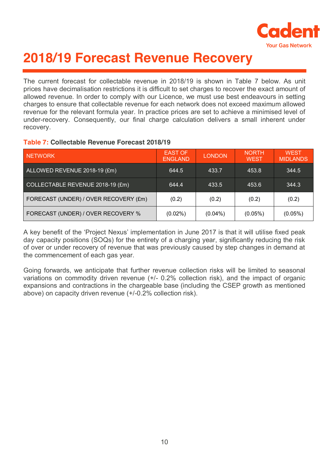

## <span id="page-9-0"></span>**2018/19 Forecast Revenue Recovery**

The current forecast for collectable revenue in 2018/19 is shown in Table 7 below. As unit prices have decimalisation restrictions it is difficult to set charges to recover the exact amount of allowed revenue. In order to comply with our Licence, we must use best endeavours in setting charges to ensure that collectable revenue for each network does not exceed maximum allowed revenue for the relevant formula year. In practice prices are set to achieve a minimised level of under-recovery. Consequently, our final charge calculation delivers a small inherent under recovery.

#### **Table 7: Collectable Revenue Forecast 2018/19**

| <b>NETWORK</b>                        | <b>EAST OF</b><br><b>ENGLAND</b> | <b>LONDON</b> | <b>NORTH</b><br><b>WEST</b> | <b>WEST</b><br><b>MIDLANDS</b> |
|---------------------------------------|----------------------------------|---------------|-----------------------------|--------------------------------|
| ALLOWED REVENUE 2018-19 (£m)          | 644.5                            | 433.7         | 453.8                       | 344.5                          |
| COLLECTABLE REVENUE 2018-19 (£m)      | 644.4                            | 433.5         | 453.6                       | 344.3                          |
| FORECAST (UNDER) / OVER RECOVERY (£m) | (0.2)                            | (0.2)         | (0.2)                       | (0.2)                          |
| FORECAST (UNDER) / OVER RECOVERY %    | $(0.02\%)$                       | $(0.04\%)$    | $(0.05\%)$                  | $(0.05\%)$                     |

A key benefit of the 'Project Nexus' implementation in June 2017 is that it will utilise fixed peak day capacity positions (SOQs) for the entirety of a charging year, significantly reducing the risk of over or under recovery of revenue that was previously caused by step changes in demand at the commencement of each gas year.

Going forwards, we anticipate that further revenue collection risks will be limited to seasonal variations on commodity driven revenue (+/- 0.2% collection risk), and the impact of organic expansions and contractions in the chargeable base (including the CSEP growth as mentioned above) on capacity driven revenue (+/-0.2% collection risk).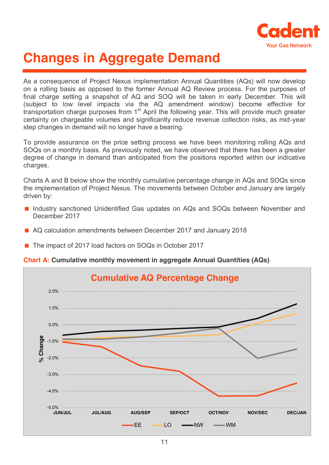

## <span id="page-10-0"></span>**Changes in Aggregate Demand**

As a consequence of Project Nexus implementation Annual Quantities (AQs) will now develop on a rolling basis as opposed to the former Annual AQ Review process. For the purposes of final charge setting a snapshot of AQ and SOQ will be taken in early December. This will (subject to low level impacts via the AQ amendment window) become effective for transportation charge purposes from 1<sup>st</sup> April the following year. This will provide much greater certainty on chargeable volumes and significantly reduce revenue collection risks, as mid-year step changes in demand will no longer have a bearing.

To provide assurance on the price setting process we have been monitoring rolling AQs and SOQs on a monthly basis. As previously noted, we have observed that there has been a greater degree of change in demand than anticipated from the positions reported within our indicative charges.

Charts A and B below show the monthly cumulative percentage change in AQs and SOQs since the implementation of Project Nexus. The movements between October and January are largely driven by:

- Industry sanctioned Unidentified Gas updates on AQs and SOQs between November and December 2017
- AQ calculation amendments between December 2017 and January 2018
- The impact of 2017 load factors on SOQs in October 2017

**Chart A: Cumulative monthly movement in aggregate Annual Quantities (AQs)**

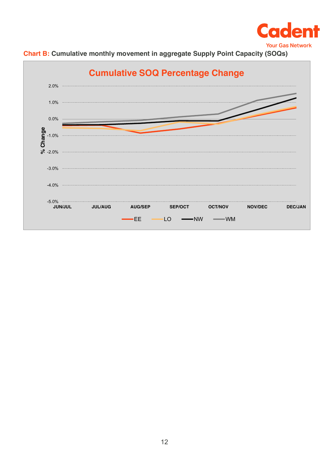



**Chart B: Cumulative monthly movement in aggregate Supply Point Capacity (SOQs)**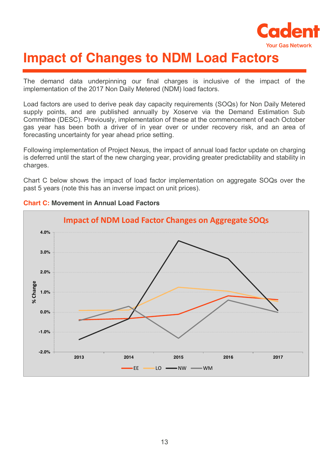

## <span id="page-12-0"></span>**Impact of Changes to NDM Load Factors**

The demand data underpinning our final charges is inclusive of the impact of the implementation of the 2017 Non Daily Metered (NDM) load factors.

Load factors are used to derive peak day capacity requirements (SOQs) for Non Daily Metered supply points, and are published annually by Xoserve via the Demand Estimation Sub Committee (DESC). Previously, implementation of these at the commencement of each October gas year has been both a driver of in year over or under recovery risk, and an area of forecasting uncertainty for year ahead price setting.

Following implementation of Project Nexus, the impact of annual load factor update on charging is deferred until the start of the new charging year, providing greater predictability and stability in charges.

Chart C below shows the impact of load factor implementation on aggregate SOQs over the past 5 years (note this has an inverse impact on unit prices).



#### **Chart C: Movement in Annual Load Factors**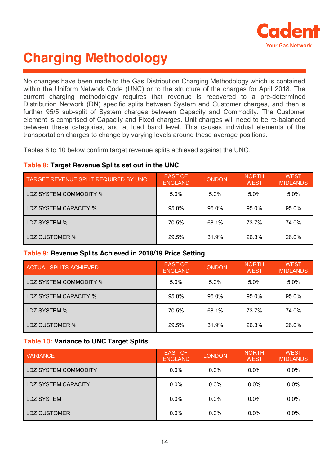

## <span id="page-13-0"></span>**Charging Methodology**

No changes have been made to the Gas Distribution Charging Methodology which is contained within the Uniform Network Code (UNC) or to the structure of the charges for April 2018. The current charging methodology requires that revenue is recovered to a pre-determined Distribution Network (DN) specific splits between System and Customer charges, and then a further 95/5 sub-split of System charges between Capacity and Commodity. The Customer element is comprised of Capacity and Fixed charges. Unit charges will need to be re-balanced between these categories, and at load band level. This causes individual elements of the transportation charges to change by varying levels around these average positions.

Tables 8 to 10 below confirm target revenue splits achieved against the UNC.

#### **Table 8: Target Revenue Splits set out in the UNC**

| TARGET REVENUE SPLIT REQUIRED BY UNC | <b>EAST OF</b><br><b>ENGLAND</b> | <b>LONDON</b> | <b>NORTH</b><br><b>WEST</b> | <b>WEST</b><br><b>MIDLANDS</b> |
|--------------------------------------|----------------------------------|---------------|-----------------------------|--------------------------------|
| LDZ SYSTEM COMMODITY %               | 5.0%                             | 5.0%          | 5.0%                        | 5.0%                           |
| LDZ SYSTEM CAPACITY %                | 95.0%                            | 95.0%         | 95.0%                       | 95.0%                          |
| LDZ SYSTEM %                         | 70.5%                            | 68.1%         | 73.7%                       | 74.0%                          |
| LDZ CUSTOMER %                       | 29.5%                            | 31.9%         | 26.3%                       | 26.0%                          |

#### **Table 9: Revenue Splits Achieved in 2018/19 Price Setting**

| ACTUAL SPLITS ACHIEVED        | <b>EAST OF</b><br><b>ENGLAND</b> | <b>LONDON</b> | <b>NORTH</b><br><b>WEST</b> | <b>WEST</b><br><b>MIDLANDS</b> |
|-------------------------------|----------------------------------|---------------|-----------------------------|--------------------------------|
| <b>LDZ SYSTEM COMMODITY %</b> | 5.0%                             | 5.0%          | 5.0%                        | 5.0%                           |
| LDZ SYSTEM CAPACITY %         | 95.0%                            | 95.0%         | 95.0%                       | 95.0%                          |
| LDZ SYSTEM %                  | 70.5%                            | 68.1%         | 73.7%                       | 74.0%                          |
| LDZ CUSTOMER %                | 29.5%                            | 31.9%         | 26.3%                       | 26.0%                          |

#### **Table 10: Variance to UNC Target Splits**

| <b>VARIANCE</b>      | <b>EAST OF</b><br><b>ENGLAND</b> | <b>LONDON</b> | <b>NORTH</b><br><b>WEST</b> | <b>WEST</b><br><b>MIDLANDS</b> |
|----------------------|----------------------------------|---------------|-----------------------------|--------------------------------|
| LDZ SYSTEM COMMODITY | $0.0\%$                          | $0.0\%$       | $0.0\%$                     | $0.0\%$                        |
| LDZ SYSTEM CAPACITY  | $0.0\%$                          | $0.0\%$       | $0.0\%$                     | $0.0\%$                        |
| <b>LDZ SYSTEM</b>    | $0.0\%$                          | $0.0\%$       | $0.0\%$                     | $0.0\%$                        |
| LDZ CUSTOMER         | $0.0\%$                          | $0.0\%$       | $0.0\%$                     | $0.0\%$                        |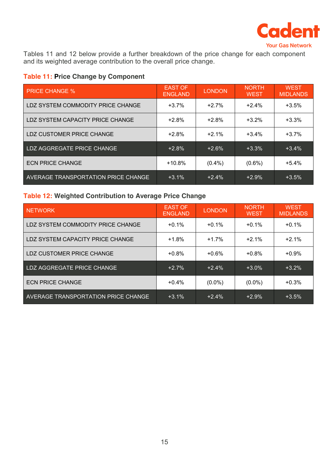

Tables 11 and 12 below provide a further breakdown of the price change for each component and its weighted average contribution to the overall price change.

#### **Table 11: Price Change by Component**

| <b>PRICE CHANGE %</b>               | <b>EAST OF</b><br><b>ENGLAND</b> | <b>LONDON</b> | <b>NORTH</b><br><b>WEST</b> | <b>WEST</b><br><b>MIDLANDS</b> |
|-------------------------------------|----------------------------------|---------------|-----------------------------|--------------------------------|
| LDZ SYSTEM COMMODITY PRICE CHANGE   | $+3.7%$                          | $+2.7%$       | $+2.4%$                     | $+3.5%$                        |
| LDZ SYSTEM CAPACITY PRICE CHANGE    | $+2.8%$                          | $+2.8%$       | $+3.2%$                     | $+3.3%$                        |
| LDZ CUSTOMER PRICE CHANGE           | $+2.8%$                          | $+2.1%$       | $+3.4%$                     | $+3.7%$                        |
| LDZ AGGREGATE PRICE CHANGE          | $+2.8%$                          | $+2.6%$       | $+3.3%$                     | $+3.4%$                        |
| <b>ECN PRICE CHANGE</b>             | $+10.8%$                         | $(0.4\%)$     | $(0.6\%)$                   | $+5.4%$                        |
| AVERAGE TRANSPORTATION PRICE CHANGE | $+3.1%$                          | $+2.4%$       | $+2.9%$                     | $+3.5%$                        |

#### **Table 12: Weighted Contribution to Average Price Change**

| <b>NETWORK</b>                      | <b>EAST OF</b><br><b>ENGLAND</b> | <b>LONDON</b> | NORTH.<br><b>WEST</b> | <b>WEST</b><br><b>MIDLANDS</b> |
|-------------------------------------|----------------------------------|---------------|-----------------------|--------------------------------|
| LDZ SYSTEM COMMODITY PRICE CHANGE   | $+0.1%$                          | $+0.1%$       | $+0.1%$               | $+0.1%$                        |
| LDZ SYSTEM CAPACITY PRICE CHANGE    | $+1.8%$                          | $+1.7%$       | $+2.1%$               | $+2.1%$                        |
| LDZ CUSTOMER PRICE CHANGE           | $+0.8%$                          | $+0.6%$       | $+0.8%$               | $+0.9%$                        |
| LDZ AGGREGATE PRICE CHANGE          | $+2.7%$                          | $+2.4%$       | $+3.0%$               | $+3.2%$                        |
| <b>ECN PRICE CHANGE</b>             | $+0.4%$                          | $(0.0\%)$     | $(0.0\%)$             | $+0.3%$                        |
| AVERAGE TRANSPORTATION PRICE CHANGE | $+3.1%$                          | $+2.4%$       | $+2.9%$               | $+3.5%$                        |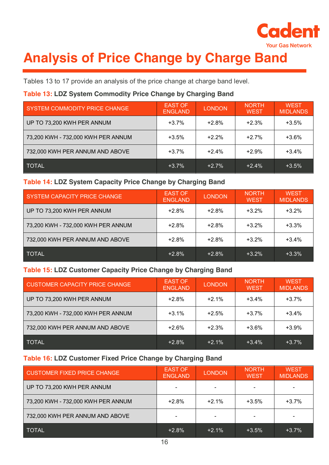

## <span id="page-15-0"></span>**Analysis of Price Change by Charge Band**

Tables 13 to 17 provide an analysis of the price change at charge band level.

#### **Table 13: LDZ System Commodity Price Change by Charging Band**

| SYSTEM COMMODITY PRICE CHANGE      | <b>EAST OF</b><br><b>ENGLAND</b> | <b>LONDON</b> | <b>NORTH</b><br><b>WEST</b> | <b>WEST</b><br><b>MIDLANDS</b> |
|------------------------------------|----------------------------------|---------------|-----------------------------|--------------------------------|
| UP TO 73,200 KWH PER ANNUM         | $+3.7%$                          | $+2.8%$       | $+2.3%$                     | $+3.5%$                        |
| 73,200 KWH - 732,000 KWH PER ANNUM | $+3.5%$                          | $+2.2%$       | $+2.7%$                     | $+3.6%$                        |
| 732,000 KWH PER ANNUM AND ABOVE    | $+3.7%$                          | $+2.4%$       | $+2.9%$                     | $+3.4%$                        |
| <b>TOTAL</b>                       | $+3.7%$                          | $+2.7%$       | $+2.4%$                     | $+3.5%$                        |

#### **Table 14: LDZ System Capacity Price Change by Charging Band**

| SYSTEM CAPACITY PRICE CHANGE       | <b>EAST OF</b><br><b>ENGLAND</b> | <b>LONDON</b> | <b>NORTH</b><br><b>WEST</b> | <b>WEST</b><br><b>MIDLANDS</b> |
|------------------------------------|----------------------------------|---------------|-----------------------------|--------------------------------|
| UP TO 73,200 KWH PER ANNUM         | $+2.8%$                          | $+2.8%$       | $+3.2%$                     | $+3.2%$                        |
| 73,200 KWH - 732,000 KWH PER ANNUM | $+2.8%$                          | $+2.8%$       | $+3.2%$                     | $+3.3%$                        |
| 732,000 KWH PER ANNUM AND ABOVE    | $+2.8%$                          | $+2.8%$       | $+3.2%$                     | $+3.4%$                        |
| <b>TOTAL</b>                       | $+2.8%$                          | $+2.8%$       | $+3.2\%$                    | $+3.3%$                        |

#### **Table 15: LDZ Customer Capacity Price Change by Charging Band**

| <b>CUSTOMER CAPACITY PRICE CHANGE</b> | <b>EAST OF</b><br><b>ENGLAND</b> | <b>LONDON</b> | <b>NORTH</b><br><b>WEST</b> | <b>WEST</b><br><b>MIDLANDS</b> |
|---------------------------------------|----------------------------------|---------------|-----------------------------|--------------------------------|
| UP TO 73,200 KWH PER ANNUM            | $+2.8%$                          | $+2.1%$       | $+3.4%$                     | $+3.7%$                        |
| 73,200 KWH - 732,000 KWH PER ANNUM    | $+3.1\%$                         | $+2.5%$       | $+3.7%$                     | $+3.4%$                        |
| 732,000 KWH PER ANNUM AND ABOVE       | $+2.6%$                          | $+2.3%$       | $+3.6%$                     | $+3.9%$                        |
| <b>TOTAL</b>                          | $+2.8\%$                         | $+2.1%$       | $+3.4%$                     | $+3.7%$                        |

#### **Table 16: LDZ Customer Fixed Price Change by Charging Band**

| <b>CUSTOMER FIXED PRICE CHANGE</b> | <b>EAST OF</b><br><b>ENGLAND</b> | <b>LONDON</b> | <b>NORTH</b><br><b>WEST</b> | <b>WEST</b><br><b>MIDLANDS</b> |
|------------------------------------|----------------------------------|---------------|-----------------------------|--------------------------------|
| UP TO 73,200 KWH PER ANNUM         |                                  |               |                             |                                |
| 73,200 KWH - 732,000 KWH PER ANNUM | $+2.8%$                          | $+2.1%$       | $+3.5%$                     | $+3.7%$                        |
| 732,000 KWH PER ANNUM AND ABOVE    |                                  |               |                             |                                |
| <b>TOTAL</b>                       | $+2.8%$                          | $+2.1%$       | $+3.5%$                     | $+3.7\%$                       |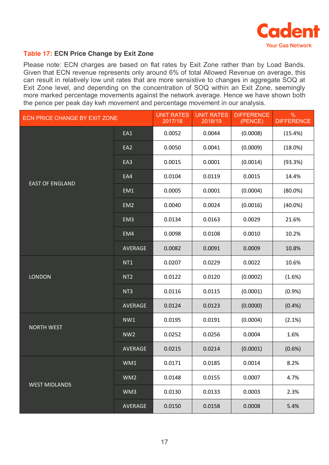

#### **Table 17: ECN Price Change by Exit Zone**

Please note: ECN charges are based on flat rates by Exit Zone rather than by Load Bands. Given that ECN revenue represents only around 6% of total Allowed Revenue on average, this can result in relatively low unit rates that are more sensistive to changes in aggregate SOQ at Exit Zone level, and depending on the concentration of SOQ within an Exit Zone, seemingly more marked percentage movements against the network average. Hence we have shown both the pence per peak day kwh movement and percentage movement in our analysis.

| ECN PRICE CHANGE BY EXIT ZONE |                 | <b>UNIT RATES</b><br>2017/18 | <b>UNIT RATES</b><br>2018/19 | <b>DIFFERENCE</b><br>(PENCE) | $\%$<br><b>DIFFERENCE</b> |
|-------------------------------|-----------------|------------------------------|------------------------------|------------------------------|---------------------------|
|                               | EA1             | 0.0052                       | 0.0044                       | (0.0008)                     | (15.4%)                   |
|                               | EA2             | 0.0050                       | 0.0041                       | (0.0009)                     | (18.0%)                   |
| <b>EAST OF ENGLAND</b>        | EA3             | 0.0015                       | 0.0001                       | (0.0014)                     | (93.3%)                   |
|                               | EA4             | 0.0104                       | 0.0119                       | 0.0015                       | 14.4%                     |
|                               | EM1             | 0.0005                       | 0.0001                       | (0.0004)                     | $(80.0\%)$                |
|                               | EM <sub>2</sub> | 0.0040                       | 0.0024                       | (0.0016)                     | $(40.0\%)$                |
|                               | EM <sub>3</sub> | 0.0134                       | 0.0163                       | 0.0029                       | 21.6%                     |
|                               | EM4             | 0.0098                       | 0.0108                       | 0.0010                       | 10.2%                     |
|                               | <b>AVERAGE</b>  | 0.0082                       | 0.0091                       | 0.0009                       | 10.8%                     |
| <b>LONDON</b>                 | NT <sub>1</sub> | 0.0207                       | 0.0229                       | 0.0022                       | 10.6%                     |
|                               | NT <sub>2</sub> | 0.0122                       | 0.0120                       | (0.0002)                     | (1.6%)                    |
|                               | NT <sub>3</sub> | 0.0116                       | 0.0115                       | (0.0001)                     | (0.9%                     |
|                               | AVERAGE         | 0.0124                       | 0.0123                       | (0.0000)                     | (0.4% )                   |
| <b>NORTH WEST</b>             | NW1             | 0.0195                       | 0.0191                       | (0.0004)                     | (2.1%)                    |
|                               | NW <sub>2</sub> | 0.0252                       | 0.0256                       | 0.0004                       | 1.6%                      |
|                               | AVERAGE         | 0.0215                       | 0.0214                       | (0.0001)                     | (0.6%)                    |
|                               | WM1             | 0.0171                       | 0.0185                       | 0.0014                       | 8.2%                      |
| <b>WEST MIDLANDS</b>          | WM <sub>2</sub> | 0.0148                       | 0.0155                       | 0.0007                       | 4.7%                      |
|                               | WM3             | 0.0130                       | 0.0133                       | 0.0003                       | 2.3%                      |
|                               | AVERAGE         | 0.0150                       | 0.0158                       | 0.0008                       | 5.4%                      |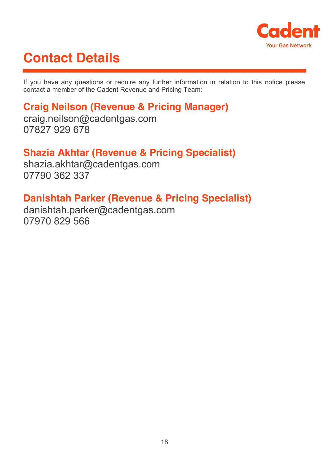

## <span id="page-17-0"></span>**Contact Details**

If you have any questions or require any further information in relation to this notice please contact a member of the Cadent Revenue and Pricing Team:

### **Craig Neilson (Revenue & Pricing Manager)**

craig.neilson@cadentgas.com 07827 929 678

### **Shazia Akhtar (Revenue & Pricing Specialist)**

shazia.akhtar@cadentgas.com 07790 362 337

### **Danishtah Parker (Revenue & Pricing Specialist)**

danishtah.parker@cadentgas.com 07970 829 566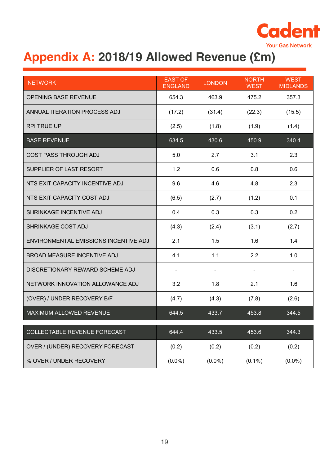

## <span id="page-18-0"></span>**Appendix A: 2018/19 Allowed Revenue (£m)**

| <b>NETWORK</b>                        | <b>EAST OF</b><br><b>ENGLAND</b> | <b>LONDON</b> | <b>NORTH</b><br><b>WEST</b> | <b>WEST</b><br><b>MIDLANDS</b> |
|---------------------------------------|----------------------------------|---------------|-----------------------------|--------------------------------|
| <b>OPENING BASE REVENUE</b>           | 654.3                            | 463.9         | 475.2                       | 357.3                          |
| ANNUAL ITERATION PROCESS ADJ          | (17.2)                           | (31.4)        | (22.3)                      | (15.5)                         |
| <b>RPI TRUE UP</b>                    | (2.5)                            | (1.8)         | (1.9)                       | (1.4)                          |
| <b>BASE REVENUE</b>                   | 634.5                            | 430.6         | 450.9                       | 340.4                          |
| <b>COST PASS THROUGH ADJ</b>          | 5.0                              | 2.7           | 3.1                         | 2.3                            |
| SUPPLIER OF LAST RESORT               | 1.2                              | 0.6           | 0.8                         | 0.6                            |
| NTS EXIT CAPACITY INCENTIVE ADJ       | 9.6                              | 4.6           | 4.8                         | 2.3                            |
| NTS EXIT CAPACITY COST ADJ            | (6.5)                            | (2.7)         | (1.2)                       | 0.1                            |
| SHRINKAGE INCENTIVE ADJ               | 0.4                              | 0.3           | 0.3                         | 0.2                            |
| SHRINKAGE COST ADJ                    | (4.3)                            | (2.4)         | (3.1)                       | (2.7)                          |
| ENVIRONMENTAL EMISSIONS INCENTIVE ADJ | 2.1                              | 1.5           | 1.6                         | 1.4                            |
| <b>BROAD MEASURE INCENTIVE ADJ</b>    | 4.1                              | 1.1           | 2.2                         | 1.0                            |
| DISCRETIONARY REWARD SCHEME ADJ       |                                  |               |                             |                                |
| NETWORK INNOVATION ALLOWANCE ADJ      | 3.2                              | 1.8           | 2.1                         | 1.6                            |
| (OVER) / UNDER RECOVERY B/F           | (4.7)                            | (4.3)         | (7.8)                       | (2.6)                          |
| <b>MAXIMUM ALLOWED REVENUE</b>        | 644.5                            | 433.7         | 453.8                       | 344.5                          |
| COLLECTABLE REVENUE FORECAST          | 644.4                            | 433.5         | 453.6                       | 344.3                          |
| OVER / (UNDER) RECOVERY FORECAST      | (0.2)                            | (0.2)         | (0.2)                       | (0.2)                          |
| % OVER / UNDER RECOVERY               | $(0.0\%)$                        | $(0.0\%)$     | $(0.1\%)$                   | $(0.0\%)$                      |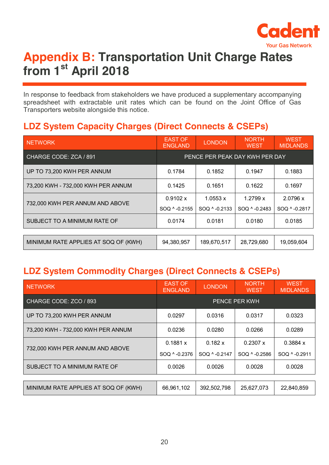

### <span id="page-19-0"></span>**Appendix B: Transportation Unit Charge Rates from 1st April 2018**

In response to feedback from stakeholders we have produced a supplementary accompanying spreadsheet with extractable unit rates which can be found on the Joint Office of Gas Transporters website alongside this notice.

### **LDZ System Capacity Charges (Direct Connects & CSEPs)**

| <b>NETWORK</b>                       | <b>EAST OF</b><br><b>ENGLAND</b> | <b>LONDON</b> | <b>NORTH</b><br><b>WEST</b> | <b>WEST</b><br><b>MIDLANDS</b> |
|--------------------------------------|----------------------------------|---------------|-----------------------------|--------------------------------|
| CHARGE CODE: ZCA / 891               | PENCE PER PEAK DAY KWH PER DAY   |               |                             |                                |
| UP TO 73,200 KWH PER ANNUM           | 0.1784                           | 0.1852        | 0.1947                      | 0.1883                         |
| 73,200 KWH - 732,000 KWH PER ANNUM   | 0.1425                           | 0.1651        | 0.1622                      | 0.1697                         |
| 732,000 KWH PER ANNUM AND ABOVE      | 0.9102 x                         | 1.0553 x      | 1.2799 x                    | 2.0796 x                       |
|                                      | SOQ ^ -0.2155                    | SOQ ^ -0.2133 | SOQ ^ -0.2483               | SOQ ^ -0.2817                  |
| SUBJECT TO A MINIMUM RATE OF         | 0.0174                           | 0.0181        | 0.0180                      | 0.0185                         |
|                                      |                                  |               |                             |                                |
| MINIMUM RATE APPLIES AT SOQ OF (KWH) | 94,380,957                       | 189,670,517   | 28,729,680                  | 19,059,604                     |

### **LDZ System Commodity Charges (Direct Connects & CSEPs)**

| <b>NETWORK</b>                       | <b>EAST OF</b><br><b>ENGLAND</b> | <b>LONDON</b> | <b>NORTH</b><br><b>WEST</b> | <b>WEST</b><br><b>MIDLANDS</b> |
|--------------------------------------|----------------------------------|---------------|-----------------------------|--------------------------------|
| CHARGE CODE: ZCO / 893               | <b>PENCE PER KWH</b>             |               |                             |                                |
| UP TO 73,200 KWH PER ANNUM           | 0.0297                           | 0.0316        | 0.0317                      | 0.0323                         |
| 73,200 KWH - 732,000 KWH PER ANNUM   | 0.0236                           | 0.0280        | 0.0266                      | 0.0289                         |
| 732,000 KWH PER ANNUM AND ABOVE      | 0.1881 x                         | 0.182 x       | 0.2307 x                    | 0.3884 x                       |
|                                      | SOQ ^ -0.2376                    | SOQ ^ -0.2147 | SOQ ^ -0.2586               | SOQ ^ -0.2911                  |
| SUBJECT TO A MINIMUM RATE OF         | 0.0026                           | 0.0026        | 0.0028                      | 0.0028                         |
|                                      |                                  |               |                             |                                |
| MINIMUM RATE APPLIES AT SOQ OF (KWH) | 66,961,102                       | 392,502,798   | 25,627,073                  | 22,840,859                     |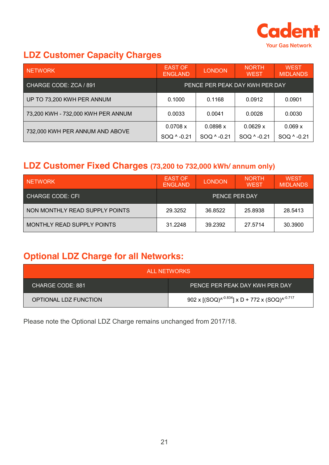

### **LDZ Customer Capacity Charges**

| <b>NETWORK</b>                     | <b>EAST OF</b><br><b>ENGLAND</b> | <b>LONDON</b> | <b>NORTH</b><br><b>WEST</b> | <b>WEST</b><br><b>MIDLANDS</b> |
|------------------------------------|----------------------------------|---------------|-----------------------------|--------------------------------|
| CHARGE CODE: ZCA / 891             | PENCE PER PEAK DAY KWH PER DAY   |               |                             |                                |
| UP TO 73,200 KWH PER ANNUM         | 0.1000                           | 0.1168        | 0.0912                      | 0.0901                         |
| 73,200 KWH - 732,000 KWH PER ANNUM | 0.0033                           | 0.0041        | 0.0028                      | 0.0030                         |
| 732,000 KWH PER ANNUM AND ABOVE    | 0.0708 x                         | 0.0898 x      | 0.0629 x                    | 0.069 x                        |
|                                    | SOQ ^ -0.21                      | SOQ ^ -0.21   | SOQ ^ -0.21                 | SOQ ^ -0.21                    |

### **LDZ Customer Fixed Charges (73,200 to 732,000 kWh/ annum only)**

| <b>NETWORK</b>                 | <b>EAST OF</b><br><b>ENGLAND</b> | <b>LONDON</b> | <b>NORTH</b><br><b>WEST</b> | <b>WEST</b><br><b>MIDLANDS</b> |
|--------------------------------|----------------------------------|---------------|-----------------------------|--------------------------------|
| CHARGE CODE: CFI               | PENCE PER DAY                    |               |                             |                                |
| NON MONTHLY READ SUPPLY POINTS | 29.3252                          | 36.8522       | 25.8938                     | 28.5413                        |
| MONTHLY READ SUPPLY POINTS     | 31.2248                          | 39.2392       | 27.5714                     | 30.3900                        |

### **Optional LDZ Charge for all Networks:**

| ALL NETWORKS          |                                                     |  |  |  |
|-----------------------|-----------------------------------------------------|--|--|--|
| CHARGE CODE: 881      | PENCE PER PEAK DAY KWH PER DAY                      |  |  |  |
| OPTIONAL LDZ FUNCTION | 902 x $[(SOQ)^{0.834}]$ x D + 772 x $(SOQ)^{0.717}$ |  |  |  |

Please note the Optional LDZ Charge remains unchanged from 2017/18.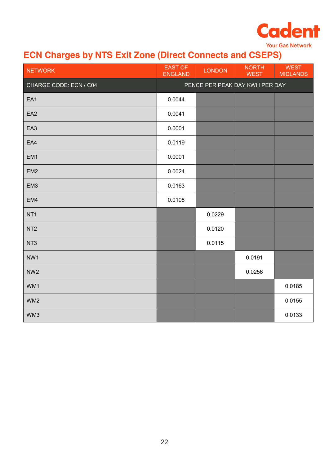

**Your Gas Network** 

### **ECN Charges by NTS Exit Zone (Direct Connects and CSEPS)**

| <b>NETWORK</b>         | <b>EAST OF</b><br><b>ENGLAND</b> | <b>LONDON</b> | <b>NORTH</b><br><b>WEST</b>    | <b>WEST</b><br><b>MIDLANDS</b> |
|------------------------|----------------------------------|---------------|--------------------------------|--------------------------------|
| CHARGE CODE: ECN / C04 |                                  |               | PENCE PER PEAK DAY KWH PER DAY |                                |
| EA1                    | 0.0044                           |               |                                |                                |
| EA <sub>2</sub>        | 0.0041                           |               |                                |                                |
| EA <sub>3</sub>        | 0.0001                           |               |                                |                                |
| EA4                    | 0.0119                           |               |                                |                                |
| EM1                    | 0.0001                           |               |                                |                                |
| EM <sub>2</sub>        | 0.0024                           |               |                                |                                |
| EM <sub>3</sub>        | 0.0163                           |               |                                |                                |
| EM4                    | 0.0108                           |               |                                |                                |
| NT <sub>1</sub>        |                                  | 0.0229        |                                |                                |
| NT <sub>2</sub>        |                                  | 0.0120        |                                |                                |
| NT <sub>3</sub>        |                                  | 0.0115        |                                |                                |
| NW1                    |                                  |               | 0.0191                         |                                |
| NW <sub>2</sub>        |                                  |               | 0.0256                         |                                |
| WM1                    |                                  |               |                                | 0.0185                         |
| WM <sub>2</sub>        |                                  |               |                                | 0.0155                         |
| WM3                    |                                  |               |                                | 0.0133                         |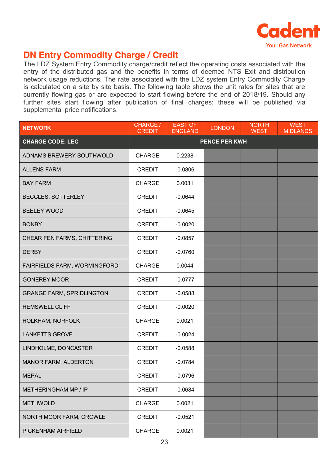

### **DN Entry Commodity Charge / Credit**

The LDZ System Entry Commodity charge/credit reflect the operating costs associated with the entry of the distributed gas and the benefits in terms of deemed NTS Exit and distribution network usage reductions. The rate associated with the LDZ system Entry Commodity Charge is calculated on a site by site basis. The following table shows the unit rates for sites that are currently flowing gas or are expected to start flowing before the end of 2018/19. Should any further sites start flowing after publication of final charges; these will be published via supplemental price notifications.

| <b>NETWORK</b>                   | CHARGE /<br><b>CREDIT</b> | <b>EAST OF</b><br><b>ENGLAND</b> | <b>LONDON</b> | <b>NORTH</b><br><b>WEST</b> | <b>WEST</b><br><b>MIDLANDS</b> |
|----------------------------------|---------------------------|----------------------------------|---------------|-----------------------------|--------------------------------|
| <b>CHARGE CODE: LEC</b>          | <b>PENCE PER KWH</b>      |                                  |               |                             |                                |
| ADNAMS BREWERY SOUTHWOLD         | <b>CHARGE</b>             | 0.2238                           |               |                             |                                |
| <b>ALLENS FARM</b>               | <b>CREDIT</b>             | $-0.0806$                        |               |                             |                                |
| <b>BAY FARM</b>                  | <b>CHARGE</b>             | 0.0031                           |               |                             |                                |
| <b>BECCLES, SOTTERLEY</b>        | <b>CREDIT</b>             | $-0.0644$                        |               |                             |                                |
| <b>BEELEY WOOD</b>               | <b>CREDIT</b>             | $-0.0645$                        |               |                             |                                |
| <b>BONBY</b>                     | <b>CREDIT</b>             | $-0.0020$                        |               |                             |                                |
| CHEAR FEN FARMS, CHITTERING      | <b>CREDIT</b>             | $-0.0857$                        |               |                             |                                |
| <b>DERBY</b>                     | <b>CREDIT</b>             | $-0.0760$                        |               |                             |                                |
| FAIRFIELDS FARM, WORMINGFORD     | <b>CHARGE</b>             | 0.0044                           |               |                             |                                |
| <b>GONERBY MOOR</b>              | <b>CREDIT</b>             | $-0.0777$                        |               |                             |                                |
| <b>GRANGE FARM, SPRIDLINGTON</b> | <b>CREDIT</b>             | $-0.0588$                        |               |                             |                                |
| <b>HEMSWELL CLIFF</b>            | <b>CREDIT</b>             | $-0.0020$                        |               |                             |                                |
| HOLKHAM, NORFOLK                 | <b>CHARGE</b>             | 0.0021                           |               |                             |                                |
| <b>LANKETTS GROVE</b>            | <b>CREDIT</b>             | $-0.0024$                        |               |                             |                                |
| LINDHOLME, DONCASTER             | <b>CREDIT</b>             | $-0.0588$                        |               |                             |                                |
| MANOR FARM, ALDERTON             | <b>CREDIT</b>             | $-0.0784$                        |               |                             |                                |
| <b>MEPAL</b>                     | <b>CREDIT</b>             | $-0.0796$                        |               |                             |                                |
| <b>METHERINGHAM MP / IP</b>      | <b>CREDIT</b>             | $-0.0684$                        |               |                             |                                |
| <b>METHWOLD</b>                  | <b>CHARGE</b>             | 0.0021                           |               |                             |                                |
| NORTH MOOR FARM, CROWLE          | <b>CREDIT</b>             | $-0.0521$                        |               |                             |                                |
| PICKENHAM AIRFIELD               | <b>CHARGE</b>             | 0.0021                           |               |                             |                                |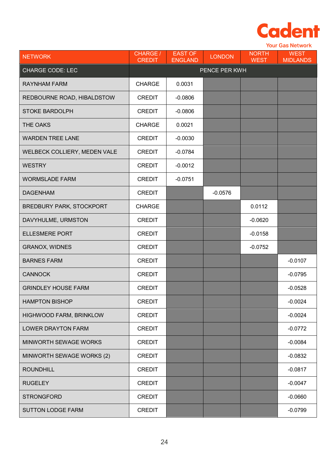

|                                 | <b>Your Gas Network</b>   |                                  |               |                             |                                |
|---------------------------------|---------------------------|----------------------------------|---------------|-----------------------------|--------------------------------|
| <b>NETWORK</b>                  | CHARGE /<br><b>CREDIT</b> | <b>EAST OF</b><br><b>ENGLAND</b> | <b>LONDON</b> | <b>NORTH</b><br><b>WEST</b> | <b>WEST</b><br><b>MIDLANDS</b> |
| <b>CHARGE CODE: LEC</b>         | PENCE PER KWH             |                                  |               |                             |                                |
| <b>RAYNHAM FARM</b>             | <b>CHARGE</b>             | 0.0031                           |               |                             |                                |
| REDBOURNE ROAD, HIBALDSTOW      | <b>CREDIT</b>             | $-0.0806$                        |               |                             |                                |
| <b>STOKE BARDOLPH</b>           | <b>CREDIT</b>             | $-0.0806$                        |               |                             |                                |
| THE OAKS                        | <b>CHARGE</b>             | 0.0021                           |               |                             |                                |
| <b>WARDEN TREE LANE</b>         | <b>CREDIT</b>             | $-0.0030$                        |               |                             |                                |
| WELBECK COLLIERY, MEDEN VALE    | <b>CREDIT</b>             | $-0.0784$                        |               |                             |                                |
| <b>WESTRY</b>                   | <b>CREDIT</b>             | $-0.0012$                        |               |                             |                                |
| <b>WORMSLADE FARM</b>           | <b>CREDIT</b>             | $-0.0751$                        |               |                             |                                |
| <b>DAGENHAM</b>                 | <b>CREDIT</b>             |                                  | $-0.0576$     |                             |                                |
| <b>BREDBURY PARK, STOCKPORT</b> | <b>CHARGE</b>             |                                  |               | 0.0112                      |                                |
| DAVYHULME, URMSTON              | <b>CREDIT</b>             |                                  |               | $-0.0620$                   |                                |
| <b>ELLESMERE PORT</b>           | <b>CREDIT</b>             |                                  |               | $-0.0158$                   |                                |
| <b>GRANOX, WIDNES</b>           | <b>CREDIT</b>             |                                  |               | $-0.0752$                   |                                |
| <b>BARNES FARM</b>              | <b>CREDIT</b>             |                                  |               |                             | $-0.0107$                      |
| <b>CANNOCK</b>                  | <b>CREDIT</b>             |                                  |               |                             | $-0.0795$                      |
| <b>GRINDLEY HOUSE FARM</b>      | <b>CREDIT</b>             |                                  |               |                             | $-0.0528$                      |
| <b>HAMPTON BISHOP</b>           | <b>CREDIT</b>             |                                  |               |                             | $-0.0024$                      |
| HIGHWOOD FARM, BRINKLOW         | <b>CREDIT</b>             |                                  |               |                             | $-0.0024$                      |
| <b>LOWER DRAYTON FARM</b>       | <b>CREDIT</b>             |                                  |               |                             | $-0.0772$                      |
| MINWORTH SEWAGE WORKS           | <b>CREDIT</b>             |                                  |               |                             | $-0.0084$                      |
| MINWORTH SEWAGE WORKS (2)       | <b>CREDIT</b>             |                                  |               |                             | $-0.0832$                      |
| <b>ROUNDHILL</b>                | <b>CREDIT</b>             |                                  |               |                             | $-0.0817$                      |
| <b>RUGELEY</b>                  | <b>CREDIT</b>             |                                  |               |                             | $-0.0047$                      |
| <b>STRONGFORD</b>               | <b>CREDIT</b>             |                                  |               |                             | $-0.0660$                      |
| <b>SUTTON LODGE FARM</b>        | <b>CREDIT</b>             |                                  |               |                             | $-0.0799$                      |